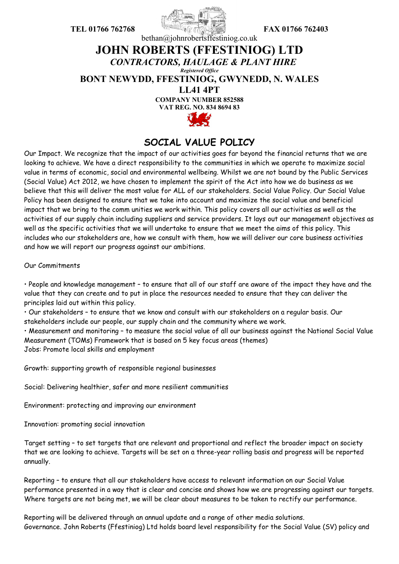

## bethan@johnrobertsffestiniog.co.uk

## **JOHN ROBERTS (FFESTINIOG) LTD** *CONTRACTORS, HAULAGE & PLANT HIRE Registered Office*

**BONT NEWYDD, FFESTINIOG, GWYNEDD, N. WALES** 

**LL41 4PT**

**COMPANY NUMBER 852588**

**VAT REG. NO. 834 8694 83**



## **SOCIAL VALUE POLICY**

Our Impact. We recognize that the impact of our activities goes far beyond the financial returns that we are looking to achieve. We have a direct responsibility to the communities in which we operate to maximize social value in terms of economic, social and environmental wellbeing. Whilst we are not bound by the Public Services (Social Value) Act 2012, we have chosen to implement the spirit of the Act into how we do business as we believe that this will deliver the most value for ALL of our stakeholders. Social Value Policy. Our Social Value Policy has been designed to ensure that we take into account and maximize the social value and beneficial impact that we bring to the comm unities we work within. This policy covers all our activities as well as the activities of our supply chain including suppliers and service providers. It lays out our management objectives as well as the specific activities that we will undertake to ensure that we meet the aims of this policy. This includes who our stakeholders are, how we consult with them, how we will deliver our core business activities and how we will report our progress against our ambitions.

Our Commitments

• People and knowledge management – to ensure that all of our staff are aware of the impact they have and the value that they can create and to put in place the resources needed to ensure that they can deliver the principles laid out within this policy.

• Our stakeholders – to ensure that we know and consult with our stakeholders on a regular basis. Our stakeholders include our people, our supply chain and the community where we work.

• Measurement and monitoring – to measure the social value of all our business against the National Social Value Measurement (TOMs) Framework that is based on 5 key focus areas (themes)

Jobs: Promote local skills and employment

Growth: supporting growth of responsible regional businesses

Social: Delivering healthier, safer and more resilient communities

Environment: protecting and improving our environment

Innovation: promoting social innovation

Target setting – to set targets that are relevant and proportional and reflect the broader impact on society that we are looking to achieve. Targets will be set on a three-year rolling basis and progress will be reported annually.

Reporting – to ensure that all our stakeholders have access to relevant information on our Social Value performance presented in a way that is clear and concise and shows how we are progressing against our targets. Where targets are not being met, we will be clear about measures to be taken to rectify our performance.

Reporting will be delivered through an annual update and a range of other media solutions. Governance. John Roberts (Ffestiniog) Ltd holds board level responsibility for the Social Value (SV) policy and